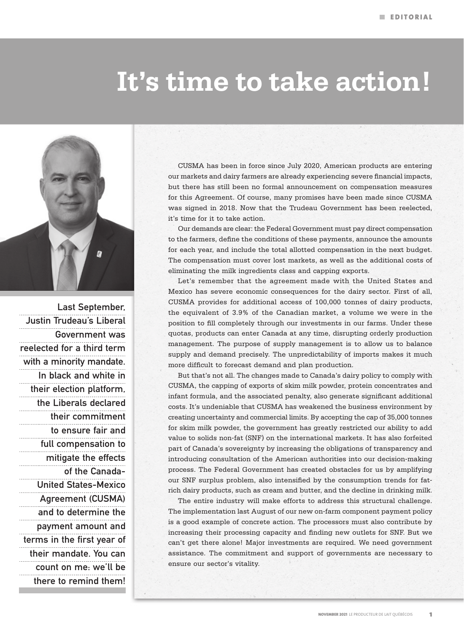## **It's time to take action!**



Last September, Justin Trudeau's Liberal Government was reelected for a third term with a minority mandate. In black and white in their election platform, the Liberals declared their commitment to ensure fair and full compensation to mitigate the effects of the Canada-United States-Mexico Agreement (CUSMA) and to determine the payment amount and terms in the first year of their mandate. You can count on me: we'll be there to remind them!

CUSMA has been in force since July 2020, American products are entering our markets and dairy farmers are already experiencing severe financial impacts, but there has still been no formal announcement on compensation measures for this Agreement. Of course, many promises have been made since CUSMA was signed in 2018. Now that the Trudeau Government has been reelected, it's time for it to take action.

Our demands are clear: the Federal Government must pay direct compensation to the farmers, define the conditions of these payments, announce the amounts for each year, and include the total allotted compensation in the next budget. The compensation must cover lost markets, as well as the additional costs of eliminating the milk ingredients class and capping exports.

Let's remember that the agreement made with the United States and Mexico has severe economic consequences for the dairy sector. First of all, CUSMA provides for additional access of 100,000 tonnes of dairy products, the equivalent of 3.9% of the Canadian market, a volume we were in the position to fill completely through our investments in our farms. Under these quotas, products can enter Canada at any time, disrupting orderly production management. The purpose of supply management is to allow us to balance supply and demand precisely. The unpredictability of imports makes it much more difficult to forecast demand and plan production.

But that's not all. The changes made to Canada's dairy policy to comply with CUSMA, the capping of exports of skim milk powder, protein concentrates and infant formula, and the associated penalty, also generate significant additional costs. It's undeniable that CUSMA has weakened the business environment by creating uncertainty and commercial limits. By accepting the cap of 35,000 tonnes for skim milk powder, the government has greatly restricted our ability to add value to solids non-fat (SNF) on the international markets. It has also forfeited part of Canada's sovereignty by increasing the obligations of transparency and introducing consultation of the American authorities into our decision-making process. The Federal Government has created obstacles for us by amplifying our SNF surplus problem, also intensified by the consumption trends for fatrich dairy products, such as cream and butter, and the decline in drinking milk.

The entire industry will make efforts to address this structural challenge. The implementation last August of our new on-farm component payment policy is a good example of concrete action. The processors must also contribute by increasing their processing capacity and finding new outlets for SNF. But we can't get there alone! Major investments are required. We need government assistance. The commitment and support of governments are necessary to ensure our sector's vitality.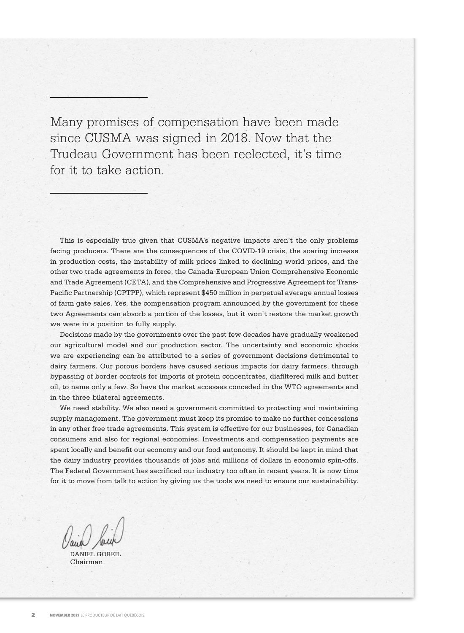Many promises of compensation have been made since CUSMA was signed in 2018. Now that the Trudeau Government has been reelected, it's time for it to take action.

This is especially true given that CUSMA's negative impacts aren't the only problems facing producers. There are the consequences of the COVID-19 crisis, the soaring increase in production costs, the instability of milk prices linked to declining world prices, and the other two trade agreements in force, the Canada-European Union Comprehensive Economic and Trade Agreement (CETA), and the Comprehensive and Progressive Agreement for Trans-Pacific Partnership (CPTPP), which represent \$450 million in perpetual average annual losses of farm gate sales. Yes, the compensation program announced by the government for these two Agreements can absorb a portion of the losses, but it won't restore the market growth we were in a position to fully supply.

Decisions made by the governments over the past few decades have gradually weakened our agricultural model and our production sector. The uncertainty and economic shocks we are experiencing can be attributed to a series of government decisions detrimental to dairy farmers. Our porous borders have caused serious impacts for dairy farmers, through bypassing of border controls for imports of protein concentrates, diafiltered milk and butter oil, to name only a few. So have the market accesses conceded in the WTO agreements and in the three bilateral agreements.

We need stability. We also need a government committed to protecting and maintaining supply management. The government must keep its promise to make no further concessions in any other free trade agreements. This system is effective for our businesses, for Canadian consumers and also for regional economies. Investments and compensation payments are spent locally and benefit our economy and our food autonomy. It should be kept in mind that the dairy industry provides thousands of jobs and millions of dollars in economic spin-offs. The Federal Government has sacrificed our industry too often in recent years. It is now time for it to move from talk to action by giving us the tools we need to ensure our sustainability.

DANIEL GOBEIL Chairman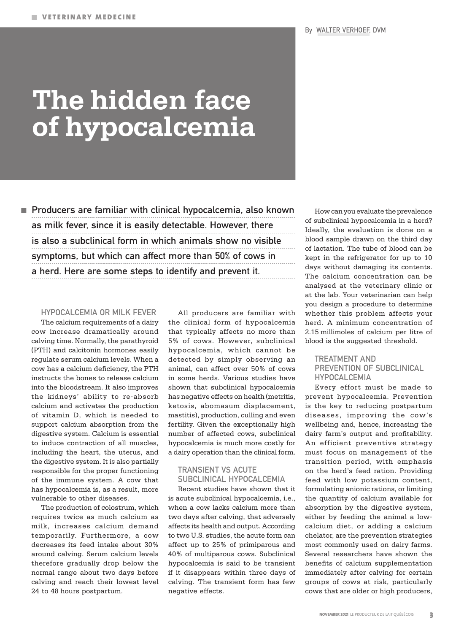# **The hidden face of hypocalcemia**

 $\blacksquare$  Producers are familiar with clinical hypocalcemia, also known as milk fever, since it is easily detectable. However, there is also a subclinical form in which animals show no visible symptoms, but which can affect more than 50% of cows in a herd. Here are some steps to identify and prevent it.

#### HYPOCALCEMIA OR MILK FEVER

The calcium requirements of a dairy cow increase dramatically around calving time. Normally, the parathyroid (PTH) and calcitonin hormones easily regulate serum calcium levels. When a cow has a calcium deficiency, the PTH instructs the bones to release calcium into the bloodstream. It also improves the kidneys' ability to re-absorb calcium and activates the production of vitamin D, which is needed to support calcium absorption from the digestive system. Calcium is essential to induce contraction of all muscles, including the heart, the uterus, and the digestive system. It is also partially responsible for the proper functioning of the immune system. A cow that has hypocalcemia is, as a result, more vulnerable to other diseases.

The production of colostrum, which requires twice as much calcium as milk, increases calcium demand temporarily. Furthermore, a cow decreases its feed intake about 30% around calving. Serum calcium levels therefore gradually drop below the normal range about two days before calving and reach their lowest level 24 to 48 hours postpartum.

All producers are familiar with the clinical form of hypocalcemia that typically affects no more than 5% of cows. However, subclinical hypocalcemia, which cannot be detected by simply observing an animal, can affect over 50% of cows in some herds. Various studies have shown that subclinical hypocalcemia has negative effects on health (metritis, ketosis, abomasum displacement, mastitis), production, culling and even fertility. Given the exceptionally high number of affected cows, subclinical hypocalcemia is much more costly for a dairy operation than the clinical form.

#### TRANSIENT VS ACUTE SUBCLINICAL HYPOCALCEMIA

Recent studies have shown that it is acute subclinical hypocalcemia, i.e., when a cow lacks calcium more than two days after calving, that adversely affects its health and output. According to two U.S. studies, the acute form can affect up to 25% of primiparous and 40% of multiparous cows. Subclinical hypocalcemia is said to be transient if it disappears within three days of calving. The transient form has few negative effects.

How can you evaluate the prevalence of subclinical hypocalcemia in a herd? Ideally, the evaluation is done on a blood sample drawn on the third day of lactation. The tube of blood can be kept in the refrigerator for up to 10 days without damaging its contents. The calcium concentration can be analysed at the veterinary clinic or at the lab. Your veterinarian can help you design a procedure to determine whether this problem affects your herd. A minimum concentration of 2.15 millimoles of calcium per litre of blood is the suggested threshold.

#### TREATMENT AND PREVENTION OF SUBCLINICAL HYPOCALCEMIA

Every effort must be made to prevent hypocalcemia. Prevention is the key to reducing postpartum diseases, improving the cow's wellbeing and, hence, increasing the dairy farm's output and profitability. An efficient preventive strategy must focus on management of the transition period, with emphasis on the herd's feed ration. Providing feed with low potassium content, formulating anionic rations, or limiting the quantity of calcium available for absorption by the digestive system, either by feeding the animal a lowcalcium diet, or adding a calcium chelator, are the prevention strategies most commonly used on dairy farms. Several researchers have shown the benefits of calcium supplementation immediately after calving for certain groups of cows at risk, particularly cows that are older or high producers,